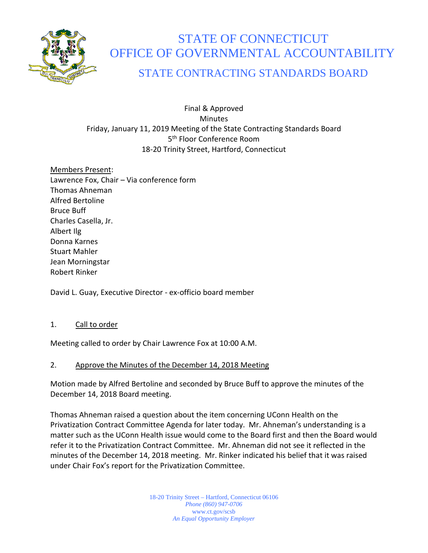

# STATE OF CONNECTICUT OFFICE OF GOVERNMENTAL ACCOUNTABILITY

## STATE CONTRACTING STANDARDS BOARD

Final & Approved **Minutes** Friday, January 11, 2019 Meeting of the State Contracting Standards Board 5<sup>th</sup> Floor Conference Room 18-20 Trinity Street, Hartford, Connecticut

Members Present: Lawrence Fox, Chair – Via conference form Thomas Ahneman Alfred Bertoline Bruce Buff Charles Casella, Jr. Albert Ilg Donna Karnes Stuart Mahler Jean Morningstar Robert Rinker

David L. Guay, Executive Director - ex-officio board member

#### 1. Call to order

Meeting called to order by Chair Lawrence Fox at 10:00 A.M.

#### 2. Approve the Minutes of the December 14, 2018 Meeting

Motion made by Alfred Bertoline and seconded by Bruce Buff to approve the minutes of the December 14, 2018 Board meeting.

Thomas Ahneman raised a question about the item concerning UConn Health on the Privatization Contract Committee Agenda for later today. Mr. Ahneman's understanding is a matter such as the UConn Health issue would come to the Board first and then the Board would refer it to the Privatization Contract Committee. Mr. Ahneman did not see it reflected in the minutes of the December 14, 2018 meeting. Mr. Rinker indicated his belief that it was raised under Chair Fox's report for the Privatization Committee.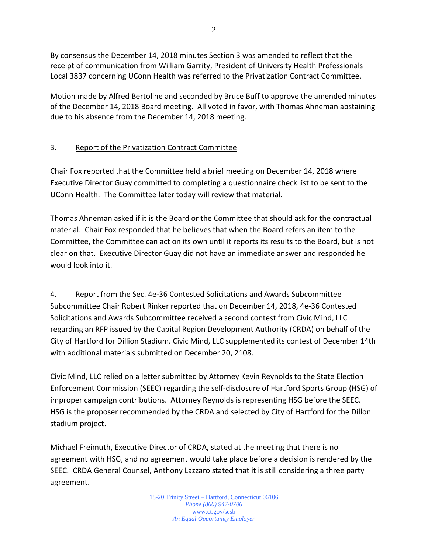By consensus the December 14, 2018 minutes Section 3 was amended to reflect that the receipt of communication from William Garrity, President of University Health Professionals Local 3837 concerning UConn Health was referred to the Privatization Contract Committee.

Motion made by Alfred Bertoline and seconded by Bruce Buff to approve the amended minutes of the December 14, 2018 Board meeting. All voted in favor, with Thomas Ahneman abstaining due to his absence from the December 14, 2018 meeting.

### 3. Report of the Privatization Contract Committee

Chair Fox reported that the Committee held a brief meeting on December 14, 2018 where Executive Director Guay committed to completing a questionnaire check list to be sent to the UConn Health. The Committee later today will review that material.

Thomas Ahneman asked if it is the Board or the Committee that should ask for the contractual material. Chair Fox responded that he believes that when the Board refers an item to the Committee, the Committee can act on its own until it reports its results to the Board, but is not clear on that. Executive Director Guay did not have an immediate answer and responded he would look into it.

4. Report from the Sec. 4e-36 Contested Solicitations and Awards Subcommittee Subcommittee Chair Robert Rinker reported that on December 14, 2018, 4e-36 Contested Solicitations and Awards Subcommittee received a second contest from Civic Mind, LLC regarding an RFP issued by the Capital Region Development Authority (CRDA) on behalf of the City of Hartford for Dillion Stadium. Civic Mind, LLC supplemented its contest of December 14th with additional materials submitted on December 20, 2108.

Civic Mind, LLC relied on a letter submitted by Attorney Kevin Reynolds to the State Election Enforcement Commission (SEEC) regarding the self-disclosure of Hartford Sports Group (HSG) of improper campaign contributions. Attorney Reynolds is representing HSG before the SEEC. HSG is the proposer recommended by the CRDA and selected by City of Hartford for the Dillon stadium project.

Michael Freimuth, Executive Director of CRDA, stated at the meeting that there is no agreement with HSG, and no agreement would take place before a decision is rendered by the SEEC. CRDA General Counsel, Anthony Lazzaro stated that it is still considering a three party agreement.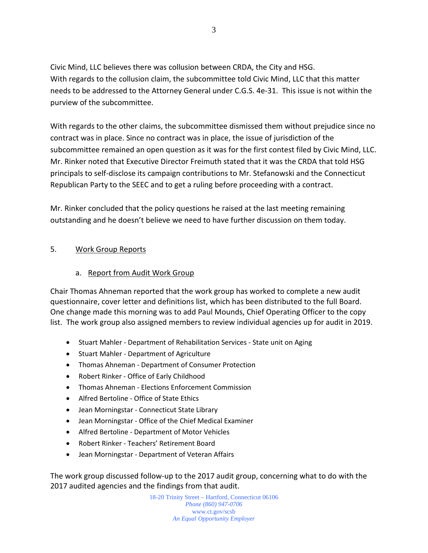Civic Mind, LLC believes there was collusion between CRDA, the City and HSG. With regards to the collusion claim, the subcommittee told Civic Mind, LLC that this matter needs to be addressed to the Attorney General under C.G.S. 4e-31. This issue is not within the purview of the subcommittee.

With regards to the other claims, the subcommittee dismissed them without prejudice since no contract was in place. Since no contract was in place, the issue of jurisdiction of the subcommittee remained an open question as it was for the first contest filed by Civic Mind, LLC. Mr. Rinker noted that Executive Director Freimuth stated that it was the CRDA that told HSG principals to self-disclose its campaign contributions to Mr. Stefanowski and the Connecticut Republican Party to the SEEC and to get a ruling before proceeding with a contract.

Mr. Rinker concluded that the policy questions he raised at the last meeting remaining outstanding and he doesn't believe we need to have further discussion on them today.

#### 5. Work Group Reports

#### a. Report from Audit Work Group

Chair Thomas Ahneman reported that the work group has worked to complete a new audit questionnaire, cover letter and definitions list, which has been distributed to the full Board. One change made this morning was to add Paul Mounds, Chief Operating Officer to the copy list. The work group also assigned members to review individual agencies up for audit in 2019.

- Stuart Mahler Department of Rehabilitation Services State unit on Aging
- Stuart Mahler Department of Agriculture
- Thomas Ahneman Department of Consumer Protection
- Robert Rinker Office of Early Childhood
- Thomas Ahneman Elections Enforcement Commission
- Alfred Bertoline Office of State Ethics
- Jean Morningstar Connecticut State Library
- Jean Morningstar Office of the Chief Medical Examiner
- Alfred Bertoline Department of Motor Vehicles
- Robert Rinker Teachers' Retirement Board
- Jean Morningstar Department of Veteran Affairs

The work group discussed follow-up to the 2017 audit group, concerning what to do with the 2017 audited agencies and the findings from that audit.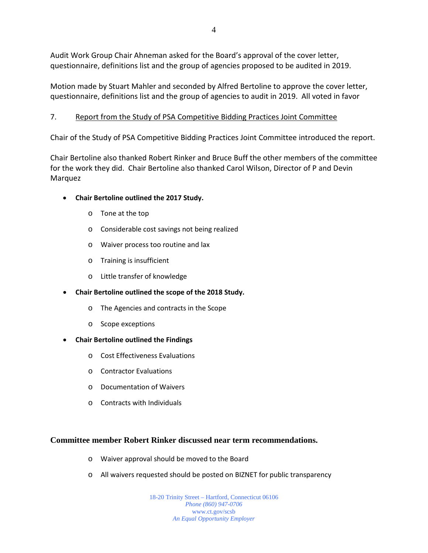Audit Work Group Chair Ahneman asked for the Board's approval of the cover letter, questionnaire, definitions list and the group of agencies proposed to be audited in 2019.

Motion made by Stuart Mahler and seconded by Alfred Bertoline to approve the cover letter, questionnaire, definitions list and the group of agencies to audit in 2019. All voted in favor

#### 7. Report from the Study of PSA Competitive Bidding Practices Joint Committee

Chair of the Study of PSA Competitive Bidding Practices Joint Committee introduced the report.

Chair Bertoline also thanked Robert Rinker and Bruce Buff the other members of the committee for the work they did. Chair Bertoline also thanked Carol Wilson, Director of P and Devin Marquez

- **Chair Bertoline outlined the 2017 Study.**
	- o Tone at the top
	- o Considerable cost savings not being realized
	- o Waiver process too routine and lax
	- o Training is insufficient
	- o Little transfer of knowledge
- **Chair Bertoline outlined the scope of the 2018 Study.**
	- o The Agencies and contracts in the Scope
	- o Scope exceptions
- **Chair Bertoline outlined the Findings**
	- o Cost Effectiveness Evaluations
	- o Contractor Evaluations
	- o Documentation of Waivers
	- o Contracts with Individuals

#### **Committee member Robert Rinker discussed near term recommendations.**

- o Waiver approval should be moved to the Board
- o All waivers requested should be posted on BIZNET for public transparency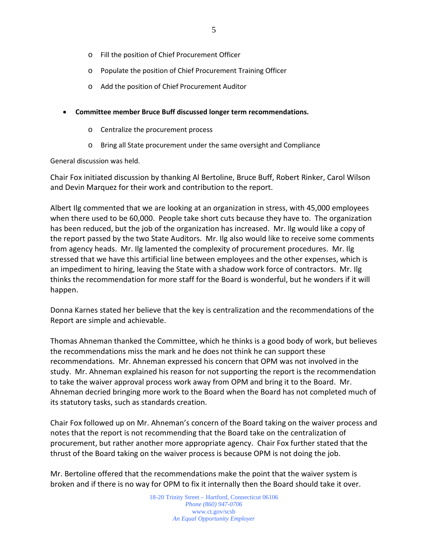- o Fill the position of Chief Procurement Officer
- o Populate the position of Chief Procurement Training Officer
- o Add the position of Chief Procurement Auditor
- **Committee member Bruce Buff discussed longer term recommendations.**
	- o Centralize the procurement process
	- o Bring all State procurement under the same oversight and Compliance

General discussion was held.

Chair Fox initiated discussion by thanking Al Bertoline, Bruce Buff, Robert Rinker, Carol Wilson and Devin Marquez for their work and contribution to the report.

Albert Ilg commented that we are looking at an organization in stress, with 45,000 employees when there used to be 60,000. People take short cuts because they have to. The organization has been reduced, but the job of the organization has increased. Mr. Ilg would like a copy of the report passed by the two State Auditors. Mr. Ilg also would like to receive some comments from agency heads. Mr. Ilg lamented the complexity of procurement procedures. Mr. Ilg stressed that we have this artificial line between employees and the other expenses, which is an impediment to hiring, leaving the State with a shadow work force of contractors. Mr. Ilg thinks the recommendation for more staff for the Board is wonderful, but he wonders if it will happen.

Donna Karnes stated her believe that the key is centralization and the recommendations of the Report are simple and achievable.

Thomas Ahneman thanked the Committee, which he thinks is a good body of work, but believes the recommendations miss the mark and he does not think he can support these recommendations. Mr. Ahneman expressed his concern that OPM was not involved in the study. Mr. Ahneman explained his reason for not supporting the report is the recommendation to take the waiver approval process work away from OPM and bring it to the Board. Mr. Ahneman decried bringing more work to the Board when the Board has not completed much of its statutory tasks, such as standards creation.

Chair Fox followed up on Mr. Ahneman's concern of the Board taking on the waiver process and notes that the report is not recommending that the Board take on the centralization of procurement, but rather another more appropriate agency. Chair Fox further stated that the thrust of the Board taking on the waiver process is because OPM is not doing the job.

Mr. Bertoline offered that the recommendations make the point that the waiver system is broken and if there is no way for OPM to fix it internally then the Board should take it over.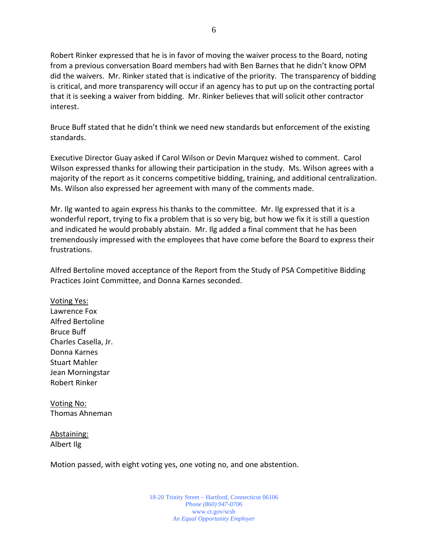Robert Rinker expressed that he is in favor of moving the waiver process to the Board, noting from a previous conversation Board members had with Ben Barnes that he didn't know OPM did the waivers. Mr. Rinker stated that is indicative of the priority. The transparency of bidding is critical, and more transparency will occur if an agency has to put up on the contracting portal that it is seeking a waiver from bidding. Mr. Rinker believes that will solicit other contractor interest.

Bruce Buff stated that he didn't think we need new standards but enforcement of the existing standards.

Executive Director Guay asked if Carol Wilson or Devin Marquez wished to comment. Carol Wilson expressed thanks for allowing their participation in the study. Ms. Wilson agrees with a majority of the report as it concerns competitive bidding, training, and additional centralization. Ms. Wilson also expressed her agreement with many of the comments made.

Mr. Ilg wanted to again express his thanks to the committee. Mr. Ilg expressed that it is a wonderful report, trying to fix a problem that is so very big, but how we fix it is still a question and indicated he would probably abstain. Mr. Ilg added a final comment that he has been tremendously impressed with the employees that have come before the Board to express their frustrations.

Alfred Bertoline moved acceptance of the Report from the Study of PSA Competitive Bidding Practices Joint Committee, and Donna Karnes seconded.

Voting Yes: Lawrence Fox Alfred Bertoline Bruce Buff Charles Casella, Jr. Donna Karnes Stuart Mahler Jean Morningstar Robert Rinker

Voting No: Thomas Ahneman

Abstaining: Albert Ilg

Motion passed, with eight voting yes, one voting no, and one abstention.